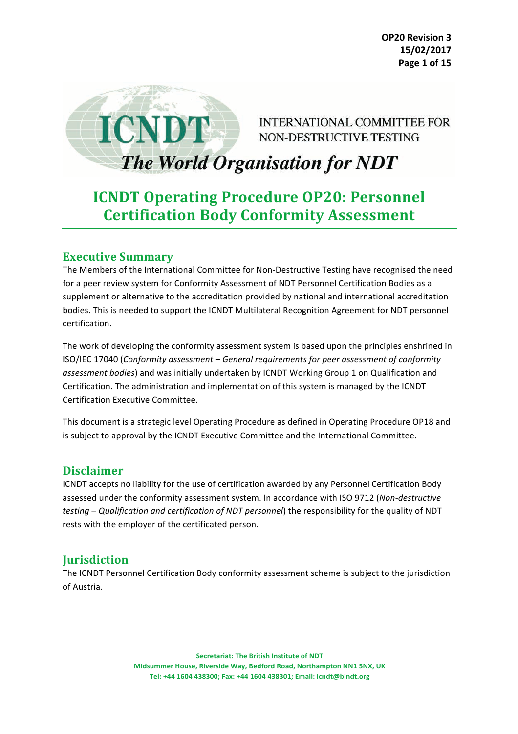

INTERNATIONAL COMMITTEE FOR NON-DESTRUCTIVE TESTING

# The World Organisation for NDT

## **ICNDT Operating Procedure OP20: Personnel Certification Body Conformity Assessment**

## **Executive Summary**

The Members of the International Committee for Non-Destructive Testing have recognised the need for a peer review system for Conformity Assessment of NDT Personnel Certification Bodies as a supplement or alternative to the accreditation provided by national and international accreditation bodies. This is needed to support the ICNDT Multilateral Recognition Agreement for NDT personnel certification.

The work of developing the conformity assessment system is based upon the principles enshrined in ISO/IEC 17040 (*Conformity assessment* – General requirements for peer assessment of conformity assessment bodies) and was initially undertaken by ICNDT Working Group 1 on Qualification and Certification. The administration and implementation of this system is managed by the ICNDT Certification Executive Committee.

This document is a strategic level Operating Procedure as defined in Operating Procedure OP18 and is subject to approval by the ICNDT Executive Committee and the International Committee.

## **Disclaimer**

ICNDT accepts no liability for the use of certification awarded by any Personnel Certification Body assessed under the conformity assessment system. In accordance with ISO 9712 (*Non-destructive testing* – Qualification and certification of NDT personnel) the responsibility for the quality of NDT rests with the employer of the certificated person.

## **Jurisdiction**

The ICNDT Personnel Certification Body conformity assessment scheme is subject to the jurisdiction of Austria.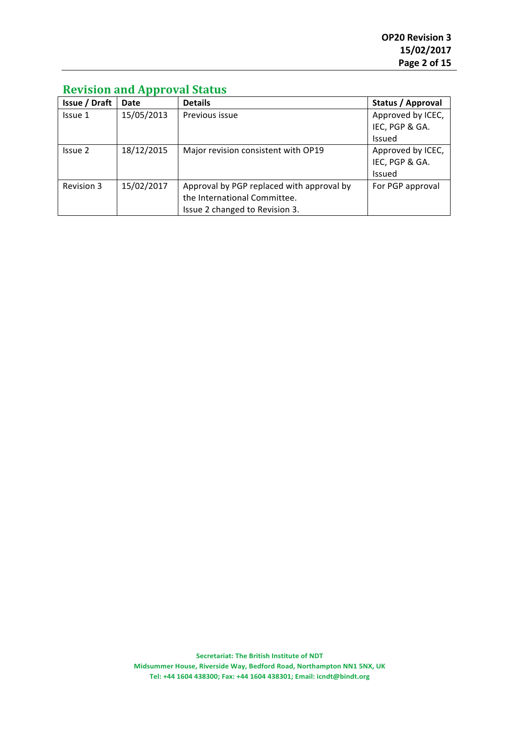| <b>Issue / Draft</b> | Date       | <b>Details</b>                            | Status / Approval |
|----------------------|------------|-------------------------------------------|-------------------|
| Issue 1              | 15/05/2013 | Previous issue                            | Approved by ICEC, |
|                      |            |                                           | IEC, PGP & GA.    |
|                      |            |                                           | Issued            |
| Issue 2              | 18/12/2015 | Major revision consistent with OP19       | Approved by ICEC, |
|                      |            |                                           | IEC, PGP & GA.    |
|                      |            |                                           | <b>Issued</b>     |
| Revision 3           | 15/02/2017 | Approval by PGP replaced with approval by | For PGP approval  |
|                      |            | the International Committee.              |                   |
|                      |            | Issue 2 changed to Revision 3.            |                   |

## **Revision and Approval Status**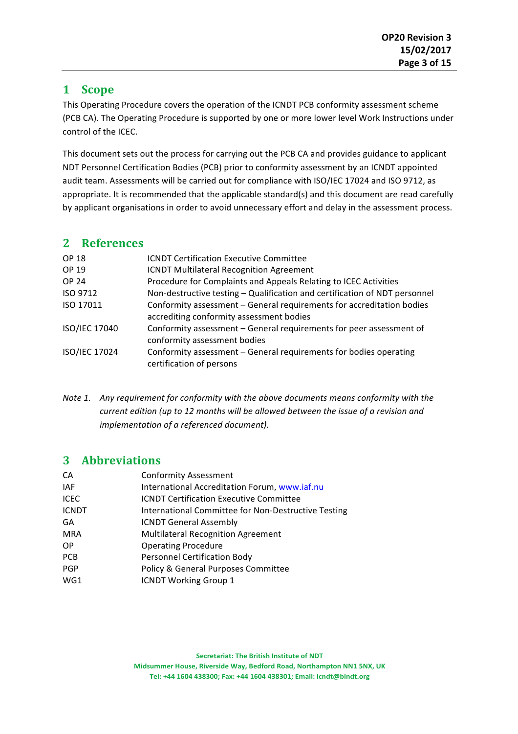## **1 Scope**

This Operating Procedure covers the operation of the ICNDT PCB conformity assessment scheme (PCB CA). The Operating Procedure is supported by one or more lower level Work Instructions under control of the ICEC. 

This document sets out the process for carrying out the PCB CA and provides guidance to applicant NDT Personnel Certification Bodies (PCB) prior to conformity assessment by an ICNDT appointed audit team. Assessments will be carried out for compliance with ISO/IEC 17024 and ISO 9712, as appropriate. It is recommended that the applicable standard(s) and this document are read carefully by applicant organisations in order to avoid unnecessary effort and delay in the assessment process.

## **2 References**

| <b>OP 18</b>  | <b>ICNDT Certification Executive Committee</b>                                                                    |
|---------------|-------------------------------------------------------------------------------------------------------------------|
| OP 19         | <b>ICNDT Multilateral Recognition Agreement</b>                                                                   |
| <b>OP 24</b>  | Procedure for Complaints and Appeals Relating to ICEC Activities                                                  |
| ISO 9712      | Non-destructive testing - Qualification and certification of NDT personnel                                        |
| ISO 17011     | Conformity assessment - General requirements for accreditation bodies<br>accrediting conformity assessment bodies |
| ISO/IEC 17040 | Conformity assessment - General requirements for peer assessment of<br>conformity assessment bodies               |
| ISO/IEC 17024 | Conformity assessment - General requirements for bodies operating<br>certification of persons                     |

*Note* 1. Any requirement for conformity with the above documents means conformity with the *current edition* (up to 12 months will be allowed between the issue of a revision and *implementation of a referenced document).* 

## **3 Abbreviations**

| СA           | <b>Conformity Assessment</b>                        |
|--------------|-----------------------------------------------------|
| IAF          | International Accreditation Forum, www.iaf.nu       |
| ICEC.        | <b>ICNDT Certification Executive Committee</b>      |
| <b>ICNDT</b> | International Committee for Non-Destructive Testing |
| GA           | <b>ICNDT General Assembly</b>                       |
| MRA          | <b>Multilateral Recognition Agreement</b>           |
| OP.          | <b>Operating Procedure</b>                          |
| PCB          | <b>Personnel Certification Body</b>                 |
| <b>PGP</b>   | Policy & General Purposes Committee                 |
| WG1          | <b>ICNDT Working Group 1</b>                        |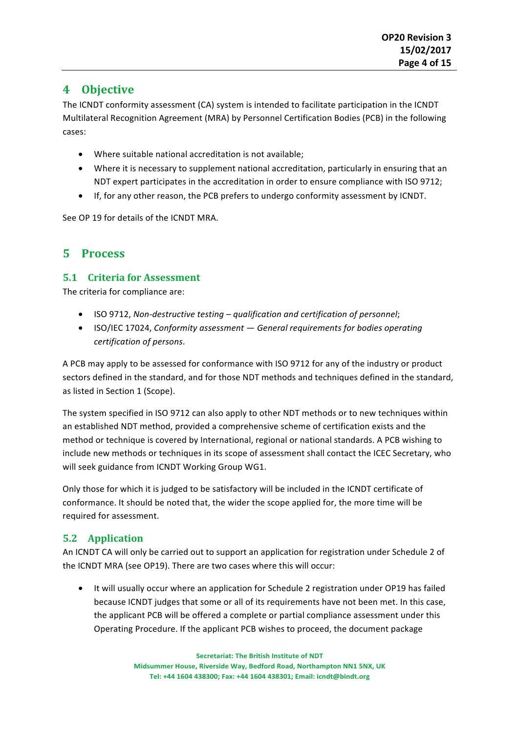## **4 Objective**

The ICNDT conformity assessment (CA) system is intended to facilitate participation in the ICNDT Multilateral Recognition Agreement (MRA) by Personnel Certification Bodies (PCB) in the following cases:

- Where suitable national accreditation is not available;
- Where it is necessary to supplement national accreditation, particularly in ensuring that an NDT expert participates in the accreditation in order to ensure compliance with ISO 9712;
- If, for any other reason, the PCB prefers to undergo conformity assessment by ICNDT.

See OP 19 for details of the ICNDT MRA.

## **5 Process**

#### **5.1 Criteria for Assessment**

The criteria for compliance are:

- ISO 9712, Non-destructive testing qualification and certification of personnel;
- ISO/IEC 17024, *Conformity assessment* General requirements for bodies operating *certification of persons*.

A PCB may apply to be assessed for conformance with ISO 9712 for any of the industry or product sectors defined in the standard, and for those NDT methods and techniques defined in the standard, as listed in Section 1 (Scope).

The system specified in ISO 9712 can also apply to other NDT methods or to new techniques within an established NDT method, provided a comprehensive scheme of certification exists and the method or technique is covered by International, regional or national standards. A PCB wishing to include new methods or techniques in its scope of assessment shall contact the ICEC Secretary, who will seek guidance from ICNDT Working Group WG1.

Only those for which it is judged to be satisfactory will be included in the ICNDT certificate of conformance. It should be noted that, the wider the scope applied for, the more time will be required for assessment.

## **5.2 Application**

An ICNDT CA will only be carried out to support an application for registration under Schedule 2 of the ICNDT MRA (see OP19). There are two cases where this will occur:

• It will usually occur where an application for Schedule 2 registration under OP19 has failed because ICNDT judges that some or all of its requirements have not been met. In this case, the applicant PCB will be offered a complete or partial compliance assessment under this Operating Procedure. If the applicant PCB wishes to proceed, the document package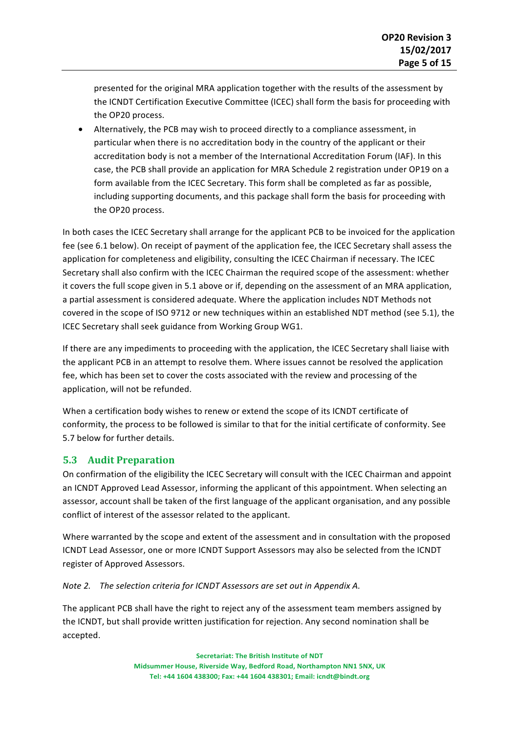presented for the original MRA application together with the results of the assessment by the ICNDT Certification Executive Committee (ICEC) shall form the basis for proceeding with the OP20 process.

• Alternatively, the PCB may wish to proceed directly to a compliance assessment, in particular when there is no accreditation body in the country of the applicant or their accreditation body is not a member of the International Accreditation Forum (IAF). In this case, the PCB shall provide an application for MRA Schedule 2 registration under OP19 on a form available from the ICEC Secretary. This form shall be completed as far as possible, including supporting documents, and this package shall form the basis for proceeding with the OP20 process.

In both cases the ICEC Secretary shall arrange for the applicant PCB to be invoiced for the application fee (see 6.1 below). On receipt of payment of the application fee, the ICEC Secretary shall assess the application for completeness and eligibility, consulting the ICEC Chairman if necessary. The ICEC Secretary shall also confirm with the ICEC Chairman the required scope of the assessment: whether it covers the full scope given in 5.1 above or if, depending on the assessment of an MRA application, a partial assessment is considered adequate. Where the application includes NDT Methods not covered in the scope of ISO 9712 or new techniques within an established NDT method (see 5.1), the ICEC Secretary shall seek guidance from Working Group WG1.

If there are any impediments to proceeding with the application, the ICEC Secretary shall liaise with the applicant PCB in an attempt to resolve them. Where issues cannot be resolved the application fee, which has been set to cover the costs associated with the review and processing of the application, will not be refunded.

When a certification body wishes to renew or extend the scope of its ICNDT certificate of conformity, the process to be followed is similar to that for the initial certificate of conformity. See 5.7 below for further details.

#### **5.3 Audit Preparation**

On confirmation of the eligibility the ICEC Secretary will consult with the ICEC Chairman and appoint an ICNDT Approved Lead Assessor, informing the applicant of this appointment. When selecting an assessor, account shall be taken of the first language of the applicant organisation, and any possible conflict of interest of the assessor related to the applicant.

Where warranted by the scope and extent of the assessment and in consultation with the proposed ICNDT Lead Assessor, one or more ICNDT Support Assessors may also be selected from the ICNDT register of Approved Assessors.

*Note 2.* The selection criteria for ICNDT Assessors are set out in Appendix A.

The applicant PCB shall have the right to reject any of the assessment team members assigned by the ICNDT, but shall provide written justification for rejection. Any second nomination shall be accepted.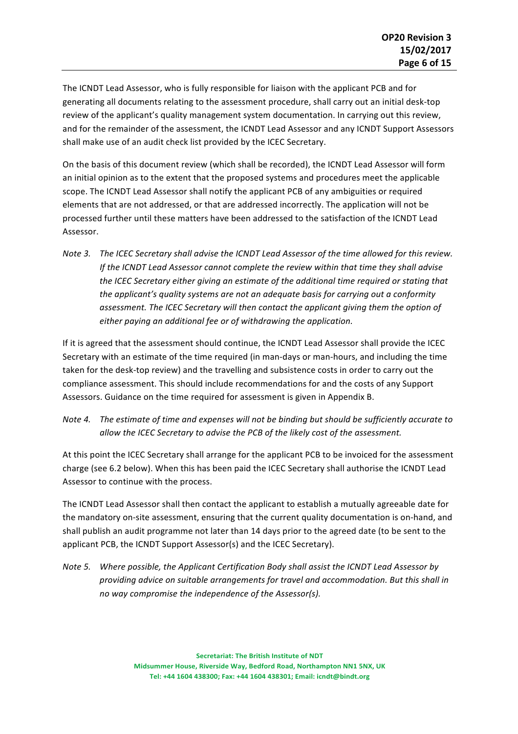The ICNDT Lead Assessor, who is fully responsible for liaison with the applicant PCB and for generating all documents relating to the assessment procedure, shall carry out an initial desk-top review of the applicant's quality management system documentation. In carrying out this review, and for the remainder of the assessment, the ICNDT Lead Assessor and any ICNDT Support Assessors shall make use of an audit check list provided by the ICEC Secretary.

On the basis of this document review (which shall be recorded), the ICNDT Lead Assessor will form an initial opinion as to the extent that the proposed systems and procedures meet the applicable scope. The ICNDT Lead Assessor shall notify the applicant PCB of any ambiguities or required elements that are not addressed, or that are addressed incorrectly. The application will not be processed further until these matters have been addressed to the satisfaction of the ICNDT Lead Assessor.

*Note 3.* The ICEC Secretary shall advise the ICNDT Lead Assessor of the time allowed for this review. *If* the ICNDT Lead Assessor cannot complete the review within that time they shall advise the ICEC Secretary either giving an estimate of the additional time required or stating that the applicant's quality systems are not an adequate basis for carrying out a conformity assessment. The ICEC Secretary will then contact the applicant giving them the option of either paying an additional fee or of withdrawing the application.

If it is agreed that the assessment should continue, the ICNDT Lead Assessor shall provide the ICEC Secretary with an estimate of the time required (in man-days or man-hours, and including the time taken for the desk-top review) and the travelling and subsistence costs in order to carry out the compliance assessment. This should include recommendations for and the costs of any Support Assessors. Guidance on the time required for assessment is given in Appendix B.

*Note 4.* The estimate of time and expenses will not be binding but should be sufficiently accurate to allow the ICEC Secretary to advise the PCB of the likely cost of the assessment.

At this point the ICEC Secretary shall arrange for the applicant PCB to be invoiced for the assessment charge (see 6.2 below). When this has been paid the ICEC Secretary shall authorise the ICNDT Lead Assessor to continue with the process.

The ICNDT Lead Assessor shall then contact the applicant to establish a mutually agreeable date for the mandatory on-site assessment, ensuring that the current quality documentation is on-hand, and shall publish an audit programme not later than 14 days prior to the agreed date (to be sent to the applicant PCB, the ICNDT Support Assessor(s) and the ICEC Secretary).

*Note 5.* Where possible, the Applicant Certification Body shall assist the ICNDT Lead Assessor by providing advice on suitable arrangements for travel and accommodation. But this shall in *no* way compromise the independence of the Assessor(s).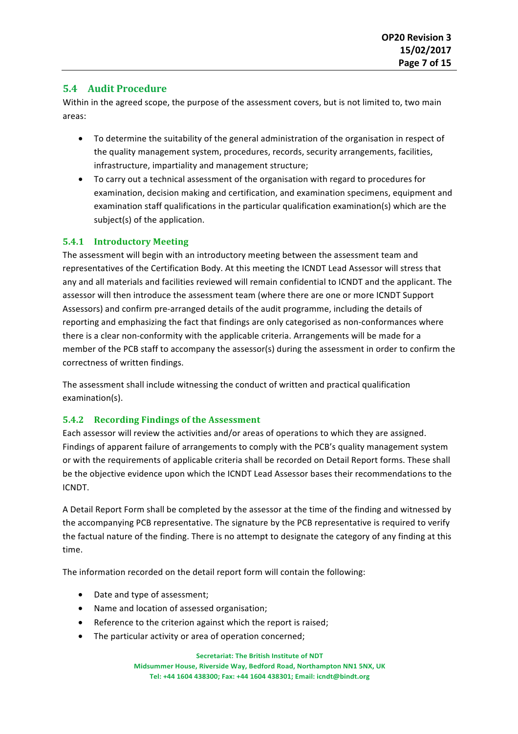#### **5.4 Audit Procedure**

Within in the agreed scope, the purpose of the assessment covers, but is not limited to, two main areas: 

- To determine the suitability of the general administration of the organisation in respect of the quality management system, procedures, records, security arrangements, facilities, infrastructure, impartiality and management structure;
- To carry out a technical assessment of the organisation with regard to procedures for examination, decision making and certification, and examination specimens, equipment and examination staff qualifications in the particular qualification examination(s) which are the subject(s) of the application.

#### **5.4.1 Introductory Meeting**

The assessment will begin with an introductory meeting between the assessment team and representatives of the Certification Body. At this meeting the ICNDT Lead Assessor will stress that any and all materials and facilities reviewed will remain confidential to ICNDT and the applicant. The assessor will then introduce the assessment team (where there are one or more ICNDT Support Assessors) and confirm pre-arranged details of the audit programme, including the details of reporting and emphasizing the fact that findings are only categorised as non-conformances where there is a clear non-conformity with the applicable criteria. Arrangements will be made for a member of the PCB staff to accompany the assessor(s) during the assessment in order to confirm the correctness of written findings.

The assessment shall include witnessing the conduct of written and practical qualification examination(s).

#### **5.4.2** Recording Findings of the Assessment

Each assessor will review the activities and/or areas of operations to which they are assigned. Findings of apparent failure of arrangements to comply with the PCB's quality management system or with the requirements of applicable criteria shall be recorded on Detail Report forms. These shall be the objective evidence upon which the ICNDT Lead Assessor bases their recommendations to the ICNDT.

A Detail Report Form shall be completed by the assessor at the time of the finding and witnessed by the accompanying PCB representative. The signature by the PCB representative is required to verify the factual nature of the finding. There is no attempt to designate the category of any finding at this time. 

The information recorded on the detail report form will contain the following:

- Date and type of assessment;
- Name and location of assessed organisation;
- Reference to the criterion against which the report is raised;
- $\bullet$  The particular activity or area of operation concerned:

**Secretariat: The British Institute of NDT** 

**Midsummer House, Riverside Way, Bedford Road, Northampton NN1 5NX, UK** Tel: +44 1604 438300; Fax: +44 1604 438301; Email: icndt@bindt.org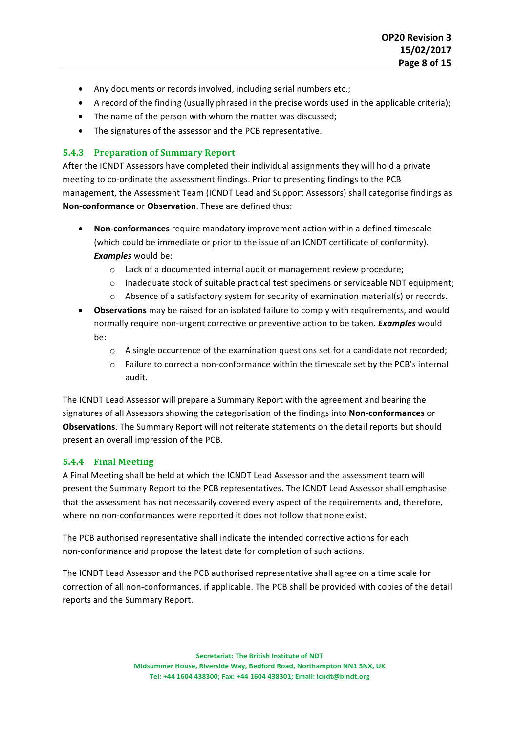- Any documents or records involved, including serial numbers etc.;
- A record of the finding (usually phrased in the precise words used in the applicable criteria);
- The name of the person with whom the matter was discussed;
- The signatures of the assessor and the PCB representative.

#### **5.4.3 Preparation of Summary Report**

After the ICNDT Assessors have completed their individual assignments they will hold a private meeting to co-ordinate the assessment findings. Prior to presenting findings to the PCB management, the Assessment Team (ICNDT Lead and Support Assessors) shall categorise findings as **Non-conformance** or **Observation**. These are defined thus:

- **Non-conformances** require mandatory improvement action within a defined timescale (which could be immediate or prior to the issue of an ICNDT certificate of conformity). *Examples* would be:
	- o Lack of a documented internal audit or management review procedure;
	- $\circ$  Inadequate stock of suitable practical test specimens or serviceable NDT equipment;
	- $\circ$  Absence of a satisfactory system for security of examination material(s) or records.
- Observations may be raised for an isolated failure to comply with requirements, and would normally require non-urgent corrective or preventive action to be taken. *Examples* would be:
	- o A single occurrence of the examination questions set for a candidate not recorded;
	- $\circ$  Failure to correct a non-conformance within the timescale set by the PCB's internal audit.

The ICNDT Lead Assessor will prepare a Summary Report with the agreement and bearing the signatures of all Assessors showing the categorisation of the findings into **Non-conformances** or **Observations**. The Summary Report will not reiterate statements on the detail reports but should present an overall impression of the PCB.

#### **5.4.4 Final Meeting**

A Final Meeting shall be held at which the ICNDT Lead Assessor and the assessment team will present the Summary Report to the PCB representatives. The ICNDT Lead Assessor shall emphasise that the assessment has not necessarily covered every aspect of the requirements and, therefore, where no non-conformances were reported it does not follow that none exist.

The PCB authorised representative shall indicate the intended corrective actions for each non-conformance and propose the latest date for completion of such actions.

The ICNDT Lead Assessor and the PCB authorised representative shall agree on a time scale for correction of all non-conformances, if applicable. The PCB shall be provided with copies of the detail reports and the Summary Report.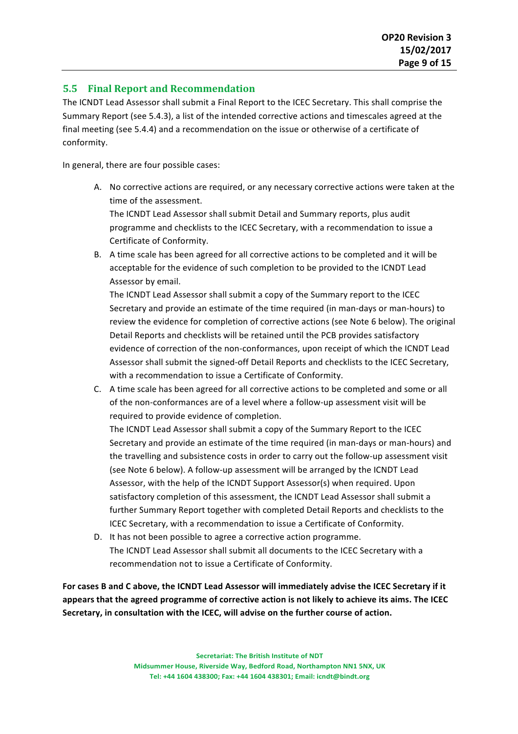#### **5.5 Final Report and Recommendation**

The ICNDT Lead Assessor shall submit a Final Report to the ICEC Secretary. This shall comprise the Summary Report (see 5.4.3), a list of the intended corrective actions and timescales agreed at the final meeting (see 5.4.4) and a recommendation on the issue or otherwise of a certificate of conformity.

In general, there are four possible cases:

A. No corrective actions are required, or any necessary corrective actions were taken at the time of the assessment.

The ICNDT Lead Assessor shall submit Detail and Summary reports, plus audit programme and checklists to the ICEC Secretary, with a recommendation to issue a Certificate of Conformity.

B. A time scale has been agreed for all corrective actions to be completed and it will be acceptable for the evidence of such completion to be provided to the ICNDT Lead Assessor by email.

The ICNDT Lead Assessor shall submit a copy of the Summary report to the ICEC Secretary and provide an estimate of the time required (in man-days or man-hours) to review the evidence for completion of corrective actions (see Note 6 below). The original Detail Reports and checklists will be retained until the PCB provides satisfactory evidence of correction of the non-conformances, upon receipt of which the ICNDT Lead Assessor shall submit the signed-off Detail Reports and checklists to the ICEC Secretary, with a recommendation to issue a Certificate of Conformity.

C. A time scale has been agreed for all corrective actions to be completed and some or all of the non-conformances are of a level where a follow-up assessment visit will be required to provide evidence of completion.

The ICNDT Lead Assessor shall submit a copy of the Summary Report to the ICEC Secretary and provide an estimate of the time required (in man-days or man-hours) and the travelling and subsistence costs in order to carry out the follow-up assessment visit (see Note 6 below). A follow-up assessment will be arranged by the ICNDT Lead Assessor, with the help of the ICNDT Support Assessor(s) when required. Upon satisfactory completion of this assessment, the ICNDT Lead Assessor shall submit a further Summary Report together with completed Detail Reports and checklists to the ICEC Secretary, with a recommendation to issue a Certificate of Conformity.

D. It has not been possible to agree a corrective action programme. The ICNDT Lead Assessor shall submit all documents to the ICEC Secretary with a recommendation not to issue a Certificate of Conformity.

For cases B and C above, the ICNDT Lead Assessor will immediately advise the ICEC Secretary if it appears that the agreed programme of corrective action is not likely to achieve its aims. The ICEC Secretary, in consultation with the ICEC, will advise on the further course of action.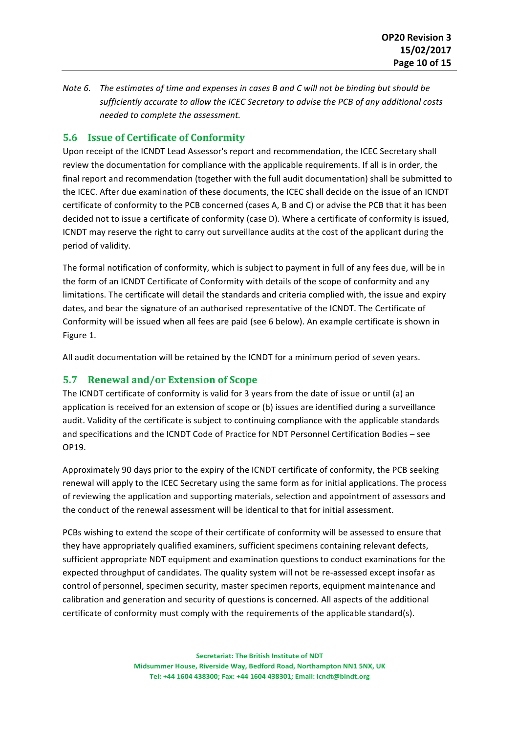*Note 6.* The estimates of time and expenses in cases B and C will not be binding but should be sufficiently accurate to allow the ICEC Secretary to advise the PCB of any additional costs *needed to complete the assessment.* 

#### **5.6 Issue of Certificate of Conformity**

Upon receipt of the ICNDT Lead Assessor's report and recommendation, the ICEC Secretary shall review the documentation for compliance with the applicable requirements. If all is in order, the final report and recommendation (together with the full audit documentation) shall be submitted to the ICEC. After due examination of these documents, the ICEC shall decide on the issue of an ICNDT certificate of conformity to the PCB concerned (cases A, B and C) or advise the PCB that it has been decided not to issue a certificate of conformity (case D). Where a certificate of conformity is issued, ICNDT may reserve the right to carry out surveillance audits at the cost of the applicant during the period of validity.

The formal notification of conformity, which is subject to payment in full of any fees due, will be in the form of an ICNDT Certificate of Conformity with details of the scope of conformity and any limitations. The certificate will detail the standards and criteria complied with, the issue and expiry dates, and bear the signature of an authorised representative of the ICNDT. The Certificate of Conformity will be issued when all fees are paid (see 6 below). An example certificate is shown in Figure 1.

All audit documentation will be retained by the ICNDT for a minimum period of seven years.

#### **5.7 Renewal and/or Extension of Scope**

The ICNDT certificate of conformity is valid for 3 years from the date of issue or until (a) an application is received for an extension of scope or (b) issues are identified during a surveillance audit. Validity of the certificate is subject to continuing compliance with the applicable standards and specifications and the ICNDT Code of Practice for NDT Personnel Certification Bodies - see OP19. 

Approximately 90 days prior to the expiry of the ICNDT certificate of conformity, the PCB seeking renewal will apply to the ICEC Secretary using the same form as for initial applications. The process of reviewing the application and supporting materials, selection and appointment of assessors and the conduct of the renewal assessment will be identical to that for initial assessment.

PCBs wishing to extend the scope of their certificate of conformity will be assessed to ensure that they have appropriately qualified examiners, sufficient specimens containing relevant defects, sufficient appropriate NDT equipment and examination questions to conduct examinations for the expected throughput of candidates. The quality system will not be re-assessed except insofar as control of personnel, specimen security, master specimen reports, equipment maintenance and calibration and generation and security of questions is concerned. All aspects of the additional certificate of conformity must comply with the requirements of the applicable standard(s).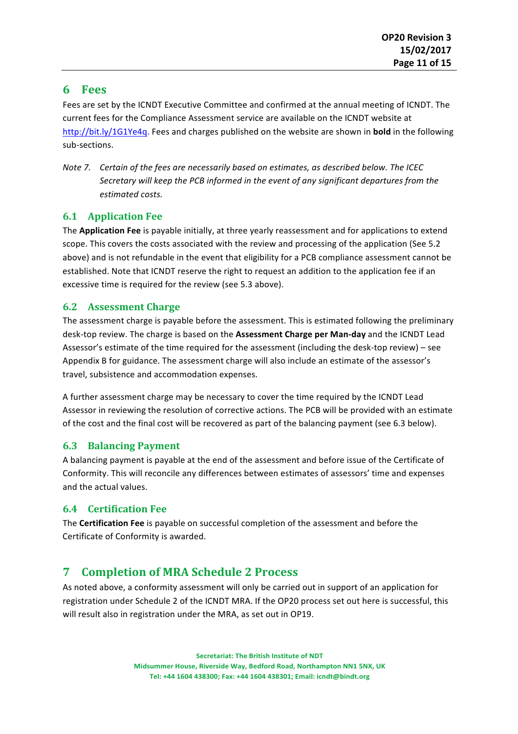## **6 Fees**

Fees are set by the ICNDT Executive Committee and confirmed at the annual meeting of ICNDT. The current fees for the Compliance Assessment service are available on the ICNDT website at http://bit.ly/1G1Ye4q. Fees and charges published on the website are shown in **bold** in the following sub-sections.

*Note 7. Certain of the fees are necessarily based on estimates, as described below. The ICEC* Secretary will keep the PCB informed in the event of any significant departures from the *estimated costs.*

#### **6.1 Application Fee**

The **Application Fee** is payable initially, at three yearly reassessment and for applications to extend scope. This covers the costs associated with the review and processing of the application (See 5.2) above) and is not refundable in the event that eligibility for a PCB compliance assessment cannot be established. Note that ICNDT reserve the right to request an addition to the application fee if an excessive time is required for the review (see 5.3 above).

#### **6.2 Assessment Charge**

The assessment charge is payable before the assessment. This is estimated following the preliminary desk-top review. The charge is based on the Assessment Charge per Man-day and the ICNDT Lead Assessor's estimate of the time required for the assessment (including the desk-top review) - see Appendix B for guidance. The assessment charge will also include an estimate of the assessor's travel, subsistence and accommodation expenses.

A further assessment charge may be necessary to cover the time required by the ICNDT Lead Assessor in reviewing the resolution of corrective actions. The PCB will be provided with an estimate of the cost and the final cost will be recovered as part of the balancing payment (see 6.3 below).

#### **6.3 Balancing Payment**

A balancing payment is payable at the end of the assessment and before issue of the Certificate of Conformity. This will reconcile any differences between estimates of assessors' time and expenses and the actual values.

#### **6.4 Certification Fee**

The **Certification Fee** is payable on successful completion of the assessment and before the Certificate of Conformity is awarded.

## **7 Completion of MRA Schedule 2 Process**

As noted above, a conformity assessment will only be carried out in support of an application for registration under Schedule 2 of the ICNDT MRA. If the OP20 process set out here is successful, this will result also in registration under the MRA, as set out in OP19.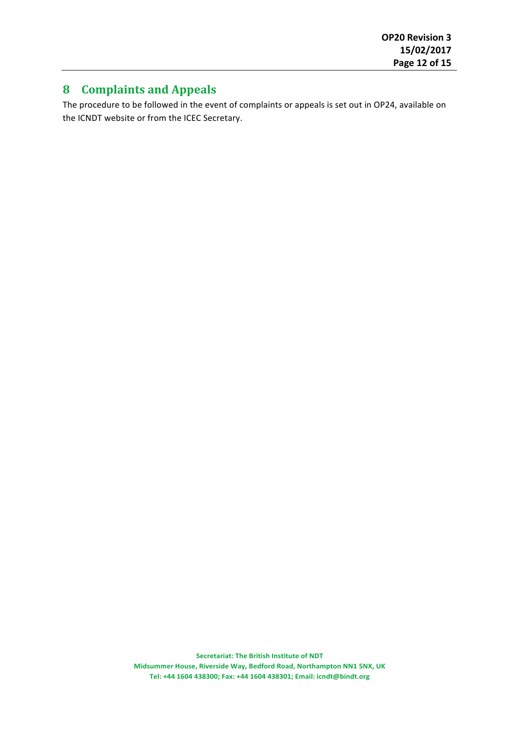## **8 Complaints and Appeals**

The procedure to be followed in the event of complaints or appeals is set out in OP24, available on the ICNDT website or from the ICEC Secretary.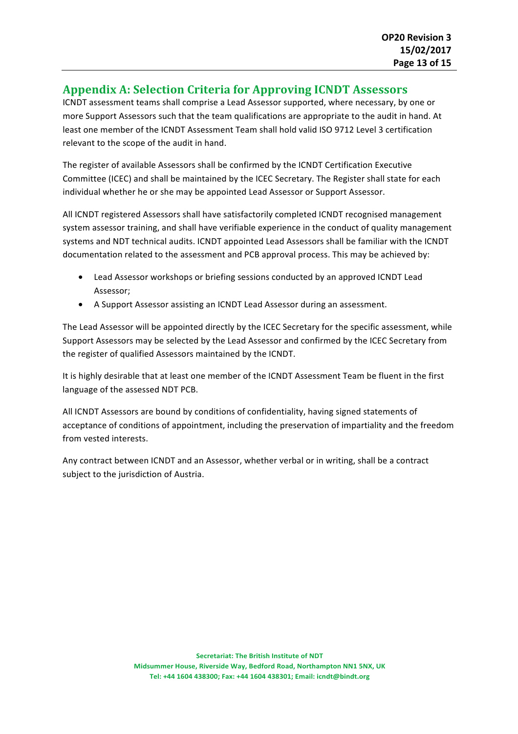## **Appendix A: Selection Criteria for Approving ICNDT Assessors**

ICNDT assessment teams shall comprise a Lead Assessor supported, where necessary, by one or more Support Assessors such that the team qualifications are appropriate to the audit in hand. At least one member of the ICNDT Assessment Team shall hold valid ISO 9712 Level 3 certification relevant to the scope of the audit in hand.

The register of available Assessors shall be confirmed by the ICNDT Certification Executive Committee (ICEC) and shall be maintained by the ICEC Secretary. The Register shall state for each individual whether he or she may be appointed Lead Assessor or Support Assessor.

All ICNDT registered Assessors shall have satisfactorily completed ICNDT recognised management system assessor training, and shall have verifiable experience in the conduct of quality management systems and NDT technical audits. ICNDT appointed Lead Assessors shall be familiar with the ICNDT documentation related to the assessment and PCB approval process. This may be achieved by:

- Lead Assessor workshops or briefing sessions conducted by an approved ICNDT Lead Assessor;
- A Support Assessor assisting an ICNDT Lead Assessor during an assessment.

The Lead Assessor will be appointed directly by the ICEC Secretary for the specific assessment, while Support Assessors may be selected by the Lead Assessor and confirmed by the ICEC Secretary from the register of qualified Assessors maintained by the ICNDT.

It is highly desirable that at least one member of the ICNDT Assessment Team be fluent in the first language of the assessed NDT PCB.

All ICNDT Assessors are bound by conditions of confidentiality, having signed statements of acceptance of conditions of appointment, including the preservation of impartiality and the freedom from vested interests.

Any contract between ICNDT and an Assessor, whether verbal or in writing, shall be a contract subject to the jurisdiction of Austria.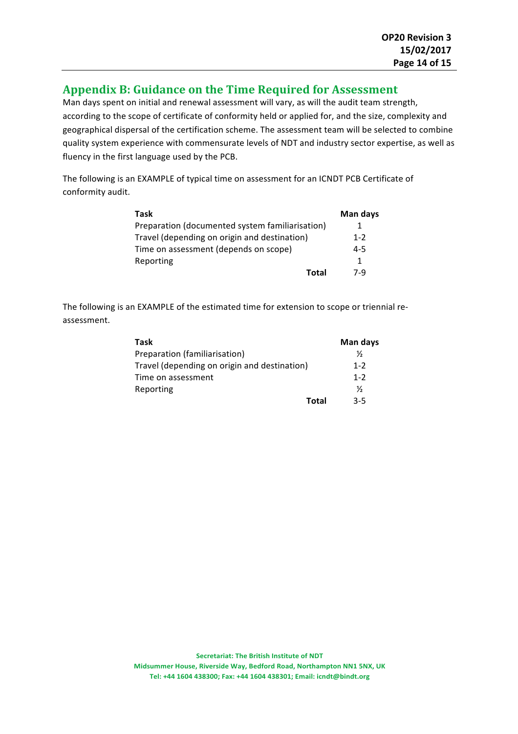## Appendix B: Guidance on the Time Required for Assessment

Man days spent on initial and renewal assessment will vary, as will the audit team strength, according to the scope of certificate of conformity held or applied for, and the size, complexity and geographical dispersal of the certification scheme. The assessment team will be selected to combine quality system experience with commensurate levels of NDT and industry sector expertise, as well as fluency in the first language used by the PCB.

The following is an EXAMPLE of typical time on assessment for an ICNDT PCB Certificate of conformity audit.

| Task                                            | Man days |
|-------------------------------------------------|----------|
| Preparation (documented system familiarisation) | 1        |
| Travel (depending on origin and destination)    | $1 - 2$  |
| Time on assessment (depends on scope)           | 4-5      |
| Reporting                                       | 1        |
| Total                                           | 7-9      |

The following is an EXAMPLE of the estimated time for extension to scope or triennial reassessment. 

| Task                                         | Man days      |
|----------------------------------------------|---------------|
| Preparation (familiarisation)                | $\frac{1}{2}$ |
| Travel (depending on origin and destination) | $1 - 2$       |
| Time on assessment                           | $1 - 2$       |
| Reporting                                    | ⅓             |
| Total                                        | 3-5           |